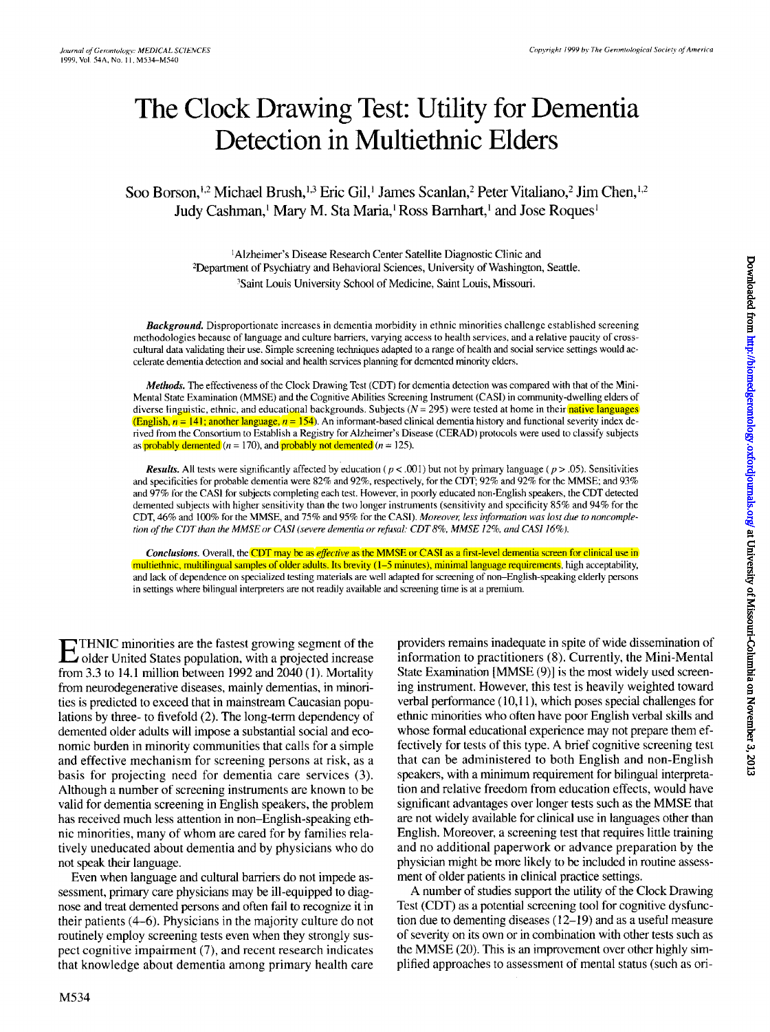# **The Clock Drawing Test: Utility for Dementia Detection in Multiethnic Elders**

Soo Borson,<sup>1,2</sup> Michael Brush,<sup>1,3</sup> Eric Gil,<sup>1</sup> James Scanlan,<sup>2</sup> Peter Vitaliano,<sup>2</sup> Jim Chen,<sup>1,2</sup> Judy Cashman,<sup>1</sup> Mary M. Sta Maria,<sup>1</sup> Ross Barnhart,<sup>1</sup> and Jose Roques<sup>1</sup>

> <sup>1</sup>Alzheimer's Disease Research Center Satellite Diagnostic Clinic and <sup>2</sup>Department of Psychiatry and Behavioral Sciences, University of Washington, Seattle. <sup>3</sup>Saint Louis University School of Medicine, Saint Louis, Missouri.

*Background.* Disproportionate increases in dementia morbidity in ethnic minorities challenge established screening methodologies because of language and culture barriers, varying access to health services, and a relative paucity of crosscultural data validating their use. Simple screening techniques adapted to a range of health and social service settings would accelerate dementia detection and social and health services planning for demented minority elders.

*Methods.* The effectiveness of the Clock Drawing Test (CDT) for dementia detection was compared with that of the Mini-Mental State Examination (MMSE) and the Cognitive Abilities Screening Instrument (CASI) in community-dwelling elders of diverse linguistic, ethnic, and educational backgrounds. Subjects  $(N = 295)$  were tested at home in their native languages (English,  $n = 141$ ; another language,  $n = 154$ ). An informant-based clinical dementia history and functional severity index derived from the Consortium to Establish a Registry for Alzheimer's Disease (CERAD) protocols were used to classify subjects as probably demented ( $n = 170$ ), and probably not demented ( $n = 125$ ).

*Results.* All tests were significantly affected by education ( $p < .001$ ) but not by primary language ( $p > .05$ ). Sensitivities and specificities for probable dementia were 82% and 92%, respectively, for the COT; 92% and 92% for the MMSE; and 93% and 97% for the CASI for subjects completing each test. However, in poorly educated non-English speakers, the COT detected demented subjects with higher sensitivity than the two longer instruments (sensitivity and specificity 85% and 94% for the COT, 46% and 100% for the MMSE, and 75% and 95% for the CASI). *Moreover, lessinformation was lost due to noncompletion ofthe CDTthan the MMSE or CAS/ (severedementiaor refusal: CDT* 8%. *MMSE* /2%, *and CAS/ 16%).*

*Conclusions.* Overall, the COT may be as *effective*as the MMSE or CASI as a first-level dementia screen for clinical use in multiethnic, multilingual samples of older adults. Its brevity (1-5 minutes), minimal language requirements, high acceptability, and lack of dependence on specialized testing materials are well adapted for screening of non-English-speaking elderly persons in settings where bilingual interpreters are not readily available and screening time is at a premium.

ETHNIC minorities are the fastest growing segment of the older United States population, with a projected increase from 3.3 to 14.1 million between 1992 and 2040 (1). Mortality from neurodegenerative diseases, mainly dementias, in minorities is predicted to exceed that in mainstream Caucasian populations by three- to fivefold (2). The long-term dependency of demented older adults will impose a substantial social and economic burden in minority communities that calls for a simple and effective mechanism for screening persons at risk, as a basis for projecting need for dementia care services (3). Although a number of screening instruments are known to be valid for dementia screening in English speakers, the problem has received much less attention in non-English-speaking ethnic minorities, many of whom are cared for by families relatively uneducated about dementia and by physicians who do not speak their language.

Even when language and cultural barriers do not impede assessment, primary care physicians may be ill-equipped to diagnose and treat demented persons and often fail to recognize it in their patients (4-6). Physicians in the majority culture do not routinely employ screening tests even when they strongly suspect cognitive impairment (7), and recent research indicates that knowledge about dementia among primary health care

providers remains inadequate in spite of wide dissemination of information to practitioners (8). Currently, the Mini-Mental State Examination [MMSE (9)] is the most widely used screening instrument. However, this test is heavily weighted toward verbal performance (10,11), which poses special challenges for ethnic minorities who often have poor English verbal skills and whose formal educational experience may not prepare them effectively for tests of this type. A brief cognitive screening test that can be administered to both English and non-English speakers, with a minimum requirement for bilingual interpretation and relative freedom from education effects, would have significant advantages over longer tests such as the MMSE that are not widely available for clinical use in languages other than English. Moreover, a screening test that requires little training and no additional paperwork or advance preparation by the physician might be more likely to be included in routine assessment of older patients in clinical practice settings.

A number of studies support the utility of the Clock Drawing Test (CDT) as a potential screening tool for cognitive dysfunction due to dementing diseases (12-19) and as a useful measure of severity on its own or in combination with other tests such as the MMSE (20). This is an improvement over other highly simplified approaches to assessment of mental status (such as ori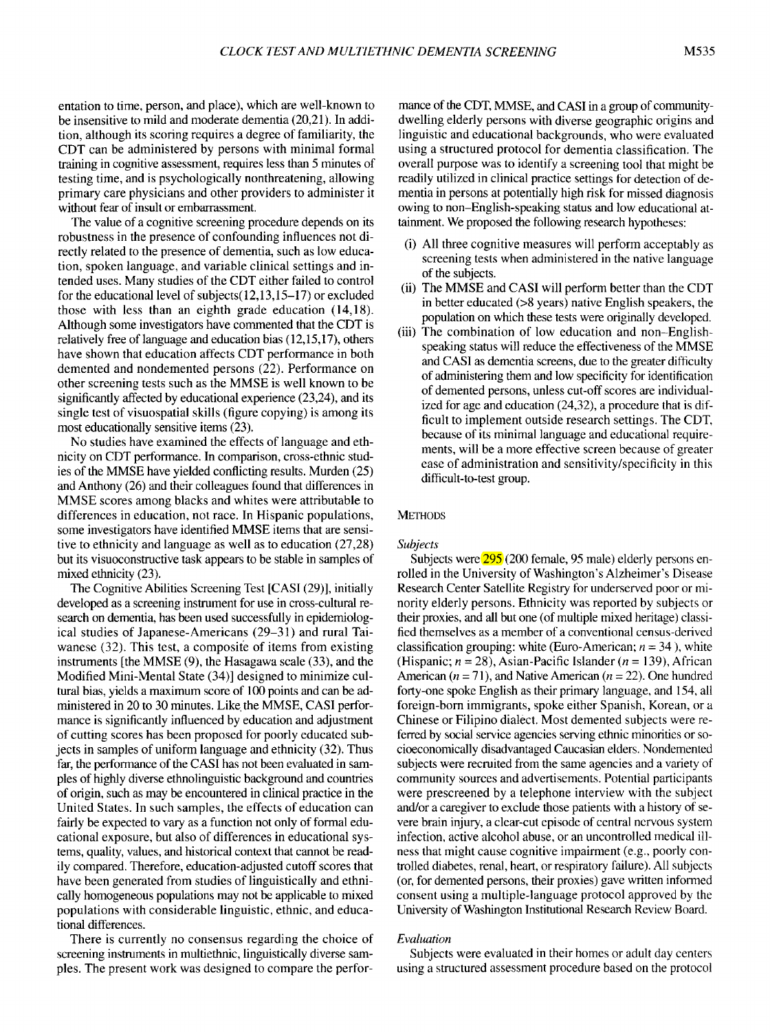entation to time, person, and place), which are well-known to be insensitive to mild and moderate dementia (20,21). In addition, although its scoring requires a degree of familiarity, the CDT can be administered by persons with minimal formal training in cognitive assessment, requires less than 5 minutes of testing time, and is psychologically nonthreatening, allowing primary care physicians and other providers to administer it without fear of insult or embarrassment.

The value of a cognitive screening procedure depends on its robustness in the presence of confounding influences not directly related to the presence of dementia, such as low education, spoken language, and variable clinical settings and intended uses. Many studies of the CDT either failed to control for the educational level of subjects(12,13,15-17) or excluded those with less than an eighth grade education (14,18). Although some investigators have commented that the CDT is relatively free of language and education bias (12,15,17), others have shown that education affects CDT performance in both demented and nondemented persons (22). Performance on other screening tests such as the MMSE is well known to be significantly affected by educational experience (23,24), and its single test of visuospatial skills (figure copying) is among its most educationally sensitive items (23).

No studies have examined the effects of language and ethnicity on CDT performance. In comparison, cross-ethnic studies of the MMSE have yielded conflicting results. Murden (25) and Anthony (26) and their colleagues found that differences in MMSE scores among blacks and whites were attributable to differences in education, not race. In Hispanic populations, some investigators have identified MMSE items that are sensitive to ethnicity and language as well as to education (27,28) but its visuoconstructive task appears to be stable in samples of mixed ethnicity (23).

The Cognitive Abilities Screening Test [CASI (29)], initially developed as a screening instrument for use in cross-cultural research on dementia, has been used successfully in epidemiological studies of Japanese-Americans (29-31) and rural Taiwanese (32). This test, a composite of items from existing instruments [the MMSE (9), the Hasagawa scale (33), and the Modified Mini-Mental State (34)] designed to minimize cultural bias, yields a maximum score of 100 points and can be administered in 20 to 30 minutes. Like the MMSE, CASI performance is significantly influenced by education and adjustment of cutting scores has been proposed for poorly educated subjects in samples of uniform language and ethnicity (32). Thus far, the performance of the CASI has not been evaluated in samples of highly diverse ethnolinguistic background and countries of origin, such as may be encountered in clinical practice in the United States. In such samples, the effects of education can fairly be expected to vary as a function not only of formal educational exposure, but also of differences in educational systems, quality, values, and historical context that cannot be readily compared. Therefore, education-adjusted cutoff scores that have been generated from studies of linguistically and ethnically homogeneous populations may not be applicable to mixed populations with considerable linguistic, ethnic, and educational differences.

There is currently no consensus regarding the choice of screening instruments in multiethnic, linguistically diverse samples. The present work was designed to compare the performance of the CDT, MMSE, and CASI in a group of communitydwelling elderly persons with diverse geographic origins and linguistic and educational backgrounds, who were evaluated using a structured protocol for dementia classification. The overall purpose was to identify a screening tool that might be readily utilized in clinical practice settings for detection of dementia in persons at potentially high risk for missed diagnosis owing to non-English-speaking status and low educational attainment. We proposed the following research hypotheses:

- (i) All three cognitive measures will perform acceptably as screening tests when administered in the native language of the subjects.
- (ii) The MMSE and CASI will perform better than the CDT in better educated (>8 years) native English speakers, the population on which these tests were originally developed.
- (iii) The combination of low education and non-Englishspeaking status will reduce the effectiveness of the MMSE and CASI as dementia screens, due to the greater difficulty of administering them and low specificity for identification of demented persons, unless cut-offscores are individualized for age and education (24,32), a procedure that is difficult to implement outside research settings. The CDT, because of its minimal language and educational requirements, will be a more effective screen because of greater ease of administration and sensitivity/specificity in this difficult-to-test group.

# **METHODS**

## *Subjects*

Subjects were  $\frac{295}{200}$  female, 95 male) elderly persons enrolled in the University of Washington's Alzheimer's Disease Research Center Satellite Registry for underserved poor or minority elderly persons. Ethnicity was reported by subjects or their proxies, and all but one (of multiple mixed heritage) classified themselves as a member of a conventional census-derived classification grouping: white (Euro-American;  $n = 34$ ), white (Hispanic;  $n = 28$ ), Asian-Pacific Islander ( $n = 139$ ), African American ( $n = 71$ ), and Native American ( $n = 22$ ). One hundred forty-one spoke English as their primary language, and 154, all foreign-born immigrants, spoke either Spanish, Korean, or a Chinese or Filipino dialect. Most demented subjects were referred by social service agencies serving ethnic minorities or socioeconomically disadvantaged Caucasian elders. Nondemented subjects were recruited from the same agencies and a variety of community sources and advertisements. Potential participants were prescreened by a telephone interview with the subject and/or a caregiver to exclude those patients with a history of severe brain injury, a clear-cut episode of central nervous system infection, active alcohol abuse, or an uncontrolled medical illness that might cause cognitive impairment (e.g., poorly controlled diabetes, renal, heart, or respiratory failure). All subjects (or, for demented persons, their proxies) gave written informed consent using a multiple-language protocol approved by the University of Washington Institutional Research Review Board.

#### *Evaluation*

Subjects were evaluated in their homes or adult day centers using a structured assessment procedure based on the protocol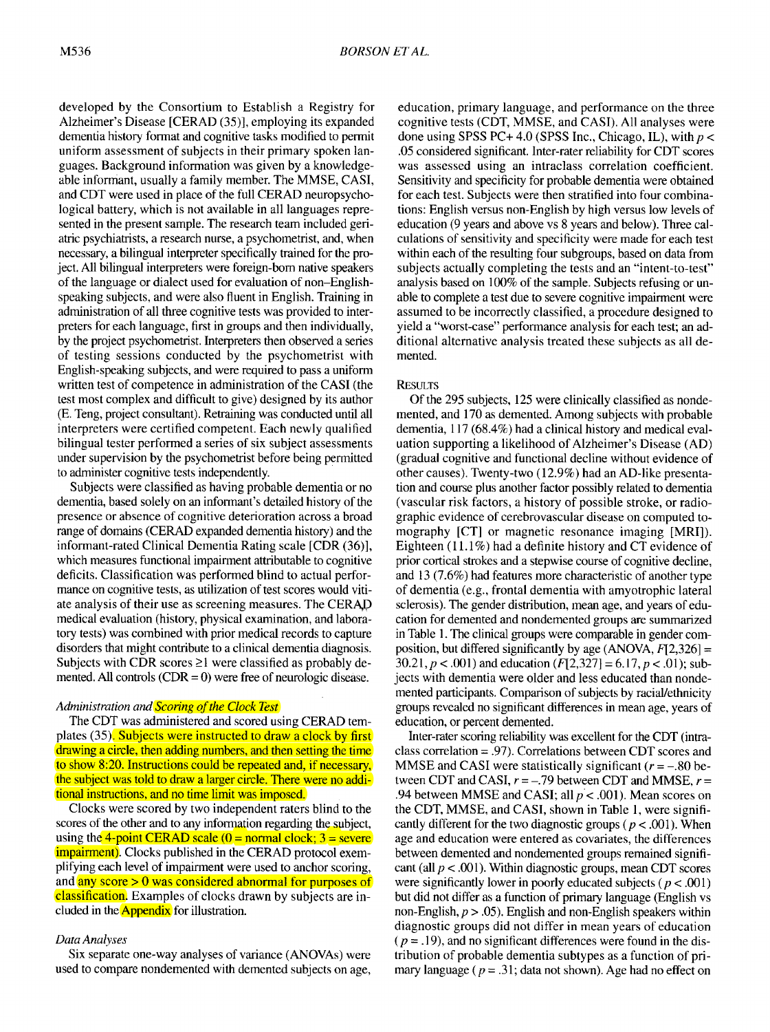developed by the Consortium to Establish a Registry for Alzheimer's Disease [CERAD (35)], employing its expanded dementia history format and cognitive tasks modified to permit uniform assessment of subjects in their primary spoken languages. Background information was given by a knowledgeable informant, usually a family member. The MMSE, CASI, and CDT were used in place of the full CERAD neuropsychological battery, which is not available in all languages represented in the present sample. The research team included geriatric psychiatrists, a research nurse, a psychometrist, and, when necessary, a bilingual interpreter specifically trained for the project. All bilingual interpreters were foreign-born native speakers of the language or dialect used for evaluation of non-Englishspeaking subjects, and were also fluent in English. Training in administration of all three cognitive tests was provided to interpreters for each language, first in groups and then individually, by the project psychometrist. Interpreters then observed a series of testing sessions conducted by the psychometrist with English-speaking subjects, and were required to pass a uniform written test of competence in administration of the CASI (the test most complex and difficult to give) designed by its author (E. Teng, project consultant). Retraining was conducted until all interpreters were certified competent. Each newly qualified bilingual tester performed a series of six subject assessments under supervision by the psychometrist before being permitted to administer cognitive tests independently.

Subjects were classified as having probable dementia or no dementia, based solely on an informant's detailed history of the presence or absence of cognitive deterioration across a broad range of domains (CERAD expanded dementia history) and the informant-rated Clinical Dementia Rating scale [CDR (36)], which measures functional impairment attributable to cognitive deficits. Classification was performed blind to actual performance on cognitive tests, as utilization of test scores would vitiate analysis of their use as screening measures. The CERAD medical evaluation (history, physical examination, and laboratory tests) was combined with prior medical records to capture disorders that might contribute to a clinical dementia diagnosis. Subjects with CDR scores  $\geq 1$  were classified as probably demented. All controls  $(CDR = 0)$  were free of neurologic disease.

# *Administration and Scoring of the Clock Test*

The CDT was administered and scored using CERAD templates (35). Subjects were instructed to draw a clock by first drawing a circle, then adding numbers, and then setting the time to show 8:20. Instructions could be repeated and, if necessary, the subject was told to draw a larger circle. There were no additional instructions, and no time limit was imposed.

Clocks were scored by two independent raters blind to the scores of the other and to any information regarding the subject, using the 4-point CERAD scale ( $0 = normal clock$ ;  $3 = severe$ impairment). Clocks published in the CERAD protocol exemplifying each level of impairment were used to anchor scoring, and any score  $> 0$  was considered abnormal for purposes of classification. Examples of clocks drawn by subjects are included in the **Appendix** for illustration.

## *Data Analyses*

Six separate one-way analyses of variance (ANOYAs) were used to compare nondemented with demented subjects on age,

education, primary language, and performance on the three cognitive tests (CDT, MMSE, and CASI). All analyses were done using SPSS PC+ 4.0 (SPSS Inc., Chicago, IL), with *p <* .05 considered significant. Inter-rater reliability for CDT scores was assessed using an intraclass correlation coefficient. Sensitivity and specificity for probable dementia were obtained for each test. Subjects were then stratified into four combinations: English versus non-English by high versus low levels of education (9 years and above vs 8 years and below). Three calculations of sensitivity and specificity were made for each test within each of the resulting four subgroups, based on data from subjects actually completing the tests and an "intent-to-test" analysis based on 100% of the sample. Subjects refusing or unable to complete a test due to severe cognitive impairment were assumed to be incorrectly classified, a procedure designed to yield a "worst-case" performance analysis for each test; an additional alternative analysis treated these subjects as all demented.

## **RESULTS**

Of the 295 subjects, 125 were clinically classified as nondemented, and 170 as demented. Among subjects with probable dementia, 117 (68.4%) had a clinical history and medical evaluation supporting a likelihood of Alzheimer's Disease (AD) (gradual cognitive and functional decline without evidence of other causes). Twenty-two (12.9%) had an AD-like presentation and course plus another factor possibly related to dementia (vascular risk factors, a history of possible stroke, or radiographic evidence of cerebrovascular disease on computed tomography [CT] or magnetic resonance imaging [MRI]). Eighteen  $(11.1\%)$  had a definite history and CT evidence of prior cortical strokes and a stepwise course of cognitive decline, and 13 (7.6%) had features more characteristic of another type of dementia (e.g., frontal dementia with amyotrophic lateral sclerosis). The gender distribution, mean age, and years of education for demented and nondemented groups are summarized in Table 1. The clinical groups were comparable in gender composition, but differed significantly by age (ANOVA,  $F[2,326] =$ 30.21,  $p < .001$ ) and education  $(F[2, 327] = 6.17, p < .01)$ ; subjects with dementia were older and less educated than nondemented participants. Comparison of subjects by racial/ethnicity groups revealed no significant differences in mean age, years of education, or percent demented.

Inter-rater scoring reliability was excellent for the CDT (intraclass correlation = .97). Correlations between CDT scores and MMSE and CASI were statistically significant  $(r = -.80$  between CDT and CASI,  $r = -.79$  between CDT and MMSE,  $r =$ .94 between MMSE and CASI; all  $p < .001$ ). Mean scores on the CDT, MMSE, and CASI, shown in Table 1, were significantly different for the two diagnostic groups ( $p < .001$ ). When age and education were entered as covariates, the differences between demented and nondemented groups remained significant (all  $p < .001$ ). Within diagnostic groups, mean CDT scores were significantly lower in poorly educated subjects ( $p < .001$ ) but did not differ as a function of primary language (English vs non-English,  $p > .05$ ). English and non-English speakers within diagnostic groups did not differ in mean years of education  $(p = .19)$ , and no significant differences were found in the distribution of probable dementia subtypes as a function of primary language ( $p = .31$ ; data not shown). Age had no effect on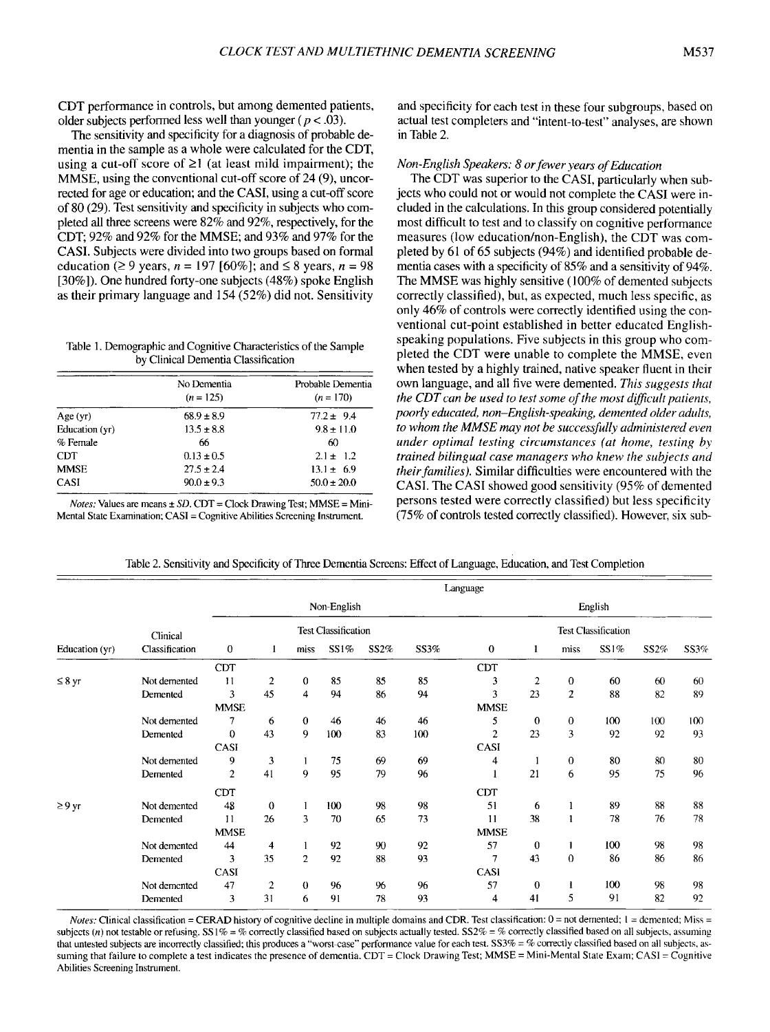CDT performance in controls, but among demented patients, older subjects performed less well than younger ( $p < .03$ ).

The sensitivity and specificity for a diagnosis of probable dementia in the sample as a whole were calculated for the CDT, using a cut-off score of  $\geq 1$  (at least mild impairment); the MMSE, using the conventional cut-off score of 24 (9), uncorrected for age or education; and the CASI, using a cut-off score of 80 (29). Test sensitivity and specificity in subjects who completed all three screens were 82% and 92%, respectively, for the CDT; 92% and 92% for the MMSE; and 93% and 97% for the CASI. Subjects were divided into two groups based on formal education ( $\geq$  9 years, *n* = 197 [60%]; and  $\leq$  8 years, *n* = 98 [30%]). One hundred forty-one subjects (48%) spoke English as their primary language and 154 (52%) did not. Sensitivity

Table I. Demographic and CognitiveCharacteristics of the Sample by Clinical Dementia Classification

|                | No Dementia<br>$(n = 125)$ | Probable Dementia<br>$(n = 170)$ |  |  |  |
|----------------|----------------------------|----------------------------------|--|--|--|
| Age(yr)        | $68.9 + 8.9$               | $77.2 \pm 9.4$                   |  |  |  |
| Education (yr) | $13.5 \pm 8.8$             | $9.8 \pm 11.0$                   |  |  |  |
| % Female       | 66                         | 60                               |  |  |  |
| CDT.           | $0.13 \pm 0.5$             | $2.1 \pm 1.2$                    |  |  |  |
| <b>MMSE</b>    | $27.5 \pm 2.4$             | $13.1 \pm 6.9$                   |  |  |  |
| CASI           | $90.0 \pm 9.3$             | $50.0 \pm 20.0$                  |  |  |  |

*Notes:* Values are means  $\pm$  *SD.* CDT = Clock Drawing Test; MMSE = Mini-Mental State Examination; CASI =Cognitive Abilities Screening Instrument.

and specificity for each test in these four subgroups, based on actual test completers and "intent-to-test" analyses, are shown in Table 2.

## *Non-English Speakers:* 8 *orfewer years ofEducation*

The CDT was superior to the CASI, particularly when subjects who could not or would not complete the CASI were included in the calculations. In this group considered potentially most difficult to test and to classify on cognitive performance measures (low education/non-English), the CDT was completed by 61 of 65 subjects (94%) and identified probable dementia cases with a specificity of 85% and a sensitivity of 94%. The MMSE was highly sensitive (100% of demented subjects correctly classified), but, as expected, much less specific, as only 46% of controls were correctly identified using the conventional cut-point established in better educated Englishspeaking populations. Five subjects in this group who completed the CDT were unable to complete the MMSE, even when tested by a highly trained, native speaker fluent in their own language, and all five were demented. *This suggests that the CDT can be used to test some of the most difficult patients, poorly educated, non-English-speaking, demented older adults, to whom the MMSE may not be successfully administered even under optimal testing circumstances (at home, testing by trained bilingual case managers who knew the subjects and their families).* Similar difficulties were encountered with the CASI. The CASI showed good sensitivity (95% of demented persons tested were correctly classified) but less specificity (75% of controls tested correctly classified), However, six sub-

| Table 2. Sensitivity and Specificity of Three Dementia Screens: Effect of Language, Education, and Test Completion |  |
|--------------------------------------------------------------------------------------------------------------------|--|
|                                                                                                                    |  |

|                | Clinical<br>Classification | Language       |                            |                |             |      |                            |                |              |                |         |      |      |
|----------------|----------------------------|----------------|----------------------------|----------------|-------------|------|----------------------------|----------------|--------------|----------------|---------|------|------|
|                |                            |                |                            |                | Non-English |      |                            |                |              |                | English |      |      |
|                |                            |                | <b>Test Classification</b> |                |             |      | <b>Test Classification</b> |                |              |                |         |      |      |
| Education (yr) |                            | $\bf{0}$       | 1                          | miss           | SS1%        | SS2% | SS3%                       | $\bf{0}$       | 1            | miss           | SS1%    | SS2% | SS3% |
|                |                            | <b>CDT</b>     |                            |                |             |      |                            | <b>CDT</b>     |              |                |         |      |      |
| $\leq 8$ yr    | Not demented               | 11             | $\overline{2}$             | $\mathbf 0$    | 85          | 85   | 85                         | 3              | 2            | $\overline{0}$ | 60      | 60   | 60   |
|                | Demented                   | 3              | 45                         | $\overline{4}$ | 94          | 86   | 94                         | 3              | 23           | $\mathfrak{2}$ | 88      | 82   | 89   |
|                |                            | <b>MMSE</b>    |                            |                |             |      |                            | <b>MMSE</b>    |              |                |         |      |      |
|                | Not demented               | 7              | 6                          | $\bf{0}$       | 46          | 46   | 46                         | 5              | $\mathbf{0}$ | $\mathbf{0}$   | 100     | 100  | 100  |
|                | Demented                   | $\mathbf 0$    | 43                         | 9              | 100         | 83   | 100                        | $\overline{2}$ | 23           | 3              | 92      | 92   | 93   |
|                |                            | CASI           |                            |                |             |      |                            | CASI           |              |                |         |      |      |
|                | Not demented               | 9              | 3                          |                | 75          | 69   | 69                         | 4              |              | $\theta$       | 80      | 80   | 80   |
|                | Demented                   | $\overline{2}$ | 41                         | 9              | 95          | 79   | 96                         | 1              | 21           | 6              | 95      | 75   | 96   |
|                |                            | <b>CDT</b>     |                            |                |             |      |                            | <b>CDT</b>     |              |                |         |      |      |
| $\geq 9$ yr    | Not demented               | 48             | 0                          |                | 100         | 98   | 98                         | 51             | 6            |                | 89      | 88   | 88   |
|                | Demented                   | 11             | 26                         | 3              | 70          | 65   | 73                         | 11             | 38           |                | 78      | 76   | 78   |
|                |                            | <b>MMSE</b>    |                            |                |             |      |                            | <b>MMSE</b>    |              |                |         |      |      |
|                | Not demented               | 44             | 4                          | 1              | 92          | 90   | 92                         | 57             | $\bf{0}$     |                | 100     | 98   | 98   |
|                | Demented                   | 3              | 35                         | $\overline{2}$ | 92          | 88   | 93                         | 7              | 43           | 0              | 86      | 86   | 86   |
|                |                            | <b>CASI</b>    |                            |                |             |      |                            | CASI           |              |                |         |      |      |
|                | Not demented               | 47             | $\mathbf{2}$               | $\theta$       | 96          | 96   | 96                         | 57             | $\bf{0}$     |                | 100     | 98   | 98   |
|                | Demented                   | 3              | 31                         | 6              | 91          | 78   | 93                         | 4              | 41           | 5              | 91      | 82   | 92   |

*Notes:* Clinical classification = CERAD history of cognitive decline in multiple domains and CDR. Test classification: 0 = not demented; 1 = demented; Miss = subjects (n) not testable or refusing. SS1% = % correctly classified based on subjects actually tested. SS2% = % correctly classified based on all subjects, assuming that untested subjects are incorrectly classified; this produces a "worst-case" performance value for each test. SS3% = % correctly classified based on all subjects, assuming that failure to complete a test indicates the presence of dementia. CDT = Clock Drawing Test; MMSE = Mini-Mental State Exam; CASI = Cognitive Abilities Screening Instrument.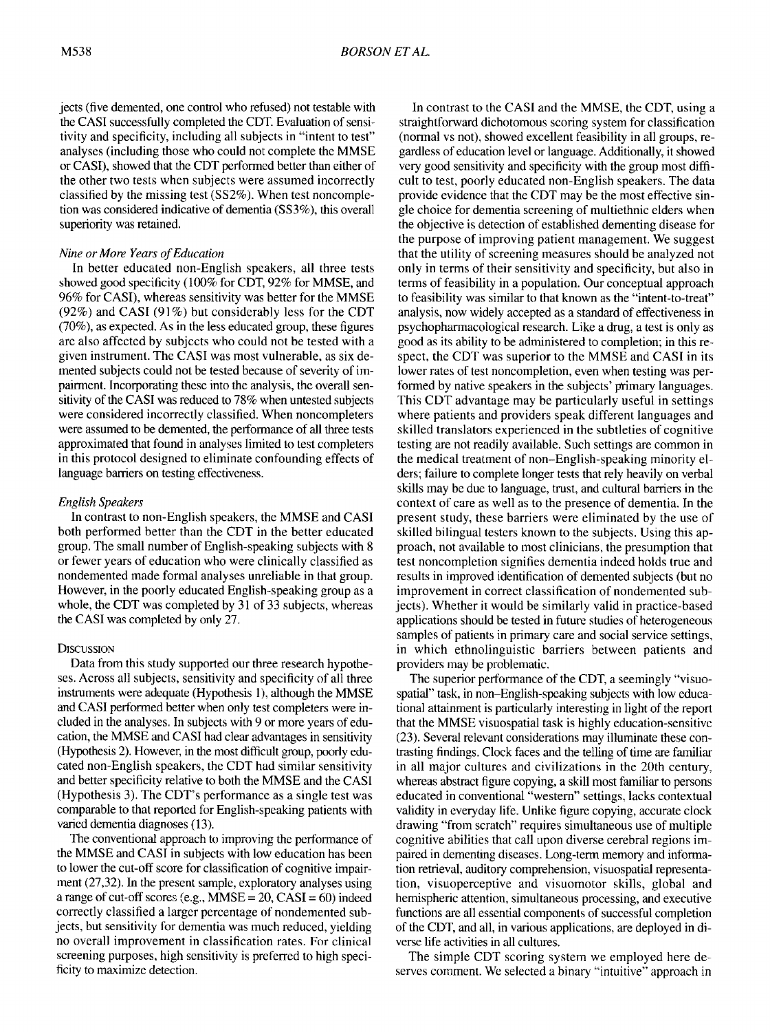jects (five demented, one control who refused) not testable with the CASI successfully completed the CDT. Evaluation of sensitivity and specificity, including all subjects in "intent to test" analyses (including those who could not complete the MMSE or CASI), showed that the CDT performed better than either of the other two tests when subjects were assumed incorrectly classified by the missing test (SS2%). When test noncompletion was considered indicative of dementia (SS3%), this overall superiority was retained.

## **Nine or More Years of Education**

In better educated non-English speakers, all three tests showed good specificity (100% for CDT, 92% for MMSE, and 96% for CASI), whereas sensitivity was better for the MMSE  $(92\%)$  and CASI (91%) but considerably less for the CDT (70%), as expected. As in the less educated group, these figures are also affected by subjects who could not be tested with a given instrument. The CASI was most vulnerable, as six demented subjects could not be tested because of severity of impairment. Incorporating these into the analysis, the overall sensitivity of the CASI was reduced to 78% when untested subjects were considered incorrectly classified. When noncompleters were assumed to be demented, the performance of all three tests approximated that found in analyses limited to test completers in this protocol designed to eliminate confounding effects of language barriers on testing effectiveness.

## *English Speakers*

In contrast to non-English speakers, the MMSE and CASI both performed better than the CDT in the better educated group. The small number of English-speaking subjects with 8 or fewer years of education who were clinically classified as nondemented made formal analyses unreliable in that group. However, in the poorly educated English-speaking group as a whole, the CDT was completed by 31 of 33 subjects, whereas the CASI was completed by only 27.

## **DISCUSSION**

Data from this study supported our three research hypotheses. Across all subjects, sensitivity and specificity of all three instruments were adequate (Hypothesis 1), although the MMSE and CASI performed better when only test completers were included in the analyses. In subjects with 9 or more years of education, the MMSE and CASI had clear advantages in sensitivity (Hypothesis 2). However, in the most difficult group, poorly educated non-English speakers, the CDT had similar sensitivity and better specificity relative to both the MMSE and the CASI (Hypothesis 3). The CDT's performance as a single test was comparable to that reported for English-speaking patients with varied dementia diagnoses (13).

The conventional approach to improving the performance of the MMSE and CASI in subjects with low education has been to lower the cut-off score for classification of cognitive impairment (27,32). In the present sample, exploratory analyses using a range of cut-off scores (e.g.,  $MMSE = 20$ ,  $CASI = 60$ ) indeed correctly classified a larger percentage of nondemented subjects, but sensitivity for dementia was much reduced, yielding no overall improvement in classification rates. For clinical screening purposes, high sensitivity is preferred to high specificity to maximize detection.

In contrast to the CASI and the MMSE, the CDT, using a straightforward dichotomous scoring system for classification (normal vs not), showed excellent feasibility in all groups, regardless of education level or language. Additionally, it showed very good sensitivity and specificity with the group most difficult to test, poorly educated non-English speakers. The data provide evidence that the CDT may be the most effective single choice for dementia screening of multiethnic elders when the objective is detection of established dementing disease for the purpose of improving patient management. We suggest that the utility of screening measures should be analyzed not only in terms of their sensitivity and specificity, but also in terms of feasibility in a population. Our conceptual approach to feasibility was similar to that known as the "intent-to-treat" analysis, now widely accepted as a standard of effectiveness in psychopharmacological research. Like a drug, a test is only as good as its ability to be administered to completion; in this respect, the CDT was superior to the MMSE and CASI in its lower rates of test noncompletion, even when testing was performed by native speakers in the subjects' primary languages. This CDT advantage may be particularly useful in settings where patients and providers speak different languages and skilled translators experienced in the subtleties of cognitive testing are not readily available. Such settings are common in the medical treatment of non-English-speaking minority elders; failure to complete longer tests that rely heavily on verbal skills may be due to language, trust, and cultural barriers in the context of care as well as to the presence of dementia. In the present study, these barriers were eliminated by the use of skilled bilingual testers known to the subjects. Using this approach, not available to most clinicians, the presumption that test noncompletion signifies dementia indeed holds true and results in improved identification of demented subjects (but no improvement in correct classification of nondemented subjects). Whether it would be similarly valid in practice-based applications should be tested in future studies of heterogeneous samples of patients in primary care and social service settings, in which ethnolinguistic barriers between patients and providers may be problematic.

The superior performance of the CDT, a seemingly "visuospatial" task, in non-English-speaking subjects with low educational attainment is particularly interesting in light of the report that the MMSE visuospatial task is highly education-sensitive (23). Several relevant considerations may illuminate these contrasting findings. Clock faces and the telling of time are familiar in all major cultures and civilizations in the 20th century, whereas abstract figure copying, a skill most familiar to persons educated in conventional "western" settings, lacks contextual validity in everyday life. Unlike figure copying, accurate clock drawing "from scratch" requires simultaneous use of multiple cognitive abilities that call upon diverse cerebral regions impaired in dementing diseases. Long-term memory and information retrieval, auditory comprehension, visuospatial representation, visuoperceptive and visuomotor skills, global and hemispheric attention, simultaneous processing, and executive functions are all essential components of successful completion of the CDT, and all, in various applications, are deployed in diverse life activities in all cultures.

The simple CDT scoring system we employed here deserves comment. We selected a binary "intuitive" approach in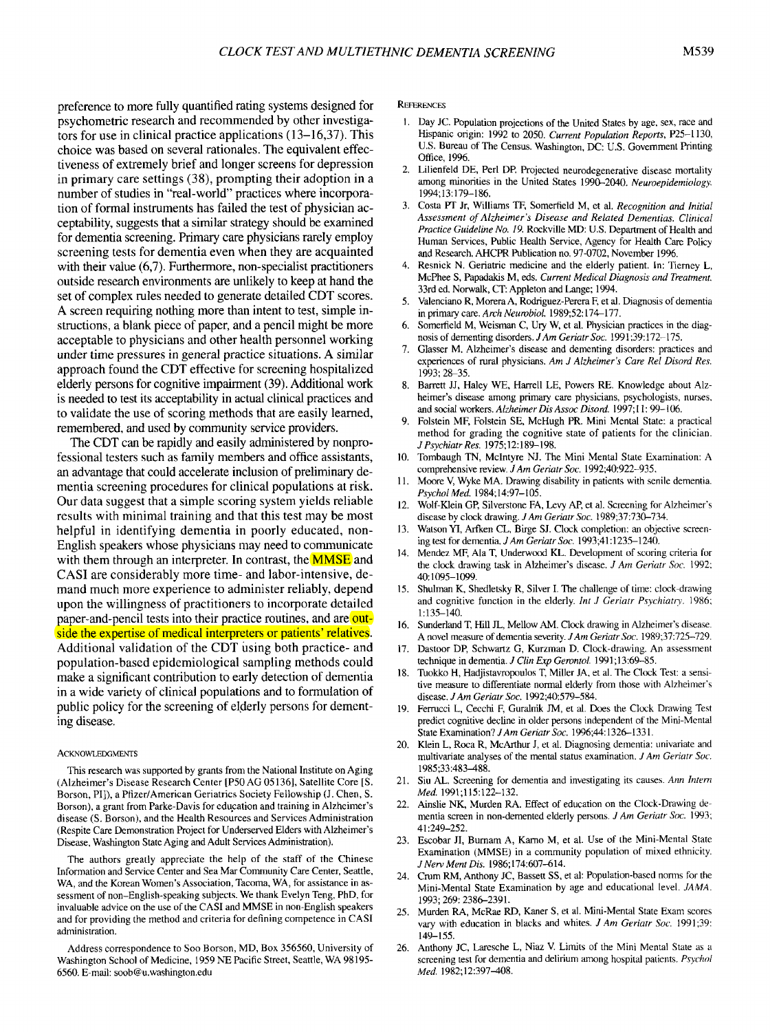preference to more fully quantified rating systems designed for psychometric research and recommended by other investigators for use in clinical practice applications (13-16,37). This choice was based on several rationales. The equivalent effectiveness of extremely brief and longer screens for depression in primary care settings (38), prompting their adoption in a number of studies in "real-world" practices where incorporation of formal instruments has failed the test of physician acceptability, suggests that a similar strategy should be examined for dementia screening. Primary care physicians rarely employ screening tests for dementia even when they are acquainted with their value (6,7). Furthermore, non-specialist practitioners outside research environments are unlikely to keep at hand the set of complex rules needed to generate detailed CDT scores. A screen requiring nothing more than intent to test, simple instructions, a blank piece of paper, and a pencil might be more acceptable to physicians and other health personnel working under time pressures in general practice situations. A similar approach found the CDT effective for screening hospitalized elderly persons for cognitive impairment (39). Additional work is needed to test its acceptability in actual clinical practices and to validate the use of scoring methods that are easily learned, remembered, and used by community service providers.

The CDT can be rapidly and easily administered by nonprofessional testers such as family members and office assistants, an advantage that could accelerate inclusion of preliminary dementia screening procedures for clinical populations at risk. Our data suggest that a simple scoring system yields reliable results with minimal training and that this test may be most helpful in identifying dementia in poorly educated, non-English speakers whose physicians may need to communicate with them through an interpreter. In contrast, the **MMSE** and CASI are considerably more time- and labor-intensive, demand much more experience to administer reliably, depend upon the willingness of practitioners to incorporate detailed paper-and-pencil tests into their practice routines, and are outside the expertise of medical interpreters or patients' relatives. Additional validation of the CDT using both practice- and population-based epidemiological sampling methods could make a significant contribution to early detection of dementia in a wide variety of clinical populations and to formulation of public policy for the screening of elderly persons for dementing disease.

#### **ACKNOWLEDGMENTS**

This research was supported by grants from the National Institute on Aging (Alzheimer's Disease Research Center [P50 AG 05136], Satellite Core [S. Borson, PI]), a Pfizer/American Geriatrics Society Fellowship (J. Chen, S. Borson), a grant from Parke-Davis for education and training in Alzheimer's disease (S. Borson), and the Health Resources and Services Administration (Respite Care Demonstration Project for Underserved Elders with Alzheimer's Disease, Washington State Aging and Adult Services Administration).

The authors greatly appreciate the help of the staff of the Chinese Information and Service Center and Sea Mar Community Care Center, Seattle, WA, and the Korean Women's Association, Tacoma, WA, for assistance in assessment of non-English-speaking subjects. We thank Evelyn Teng, PhD, for invaluable advice on the use of the CASI and MMSE in non-English speakers and for providing the method and criteria for defining competence in CASI administration.

Address correspondence to Soo Borson, MD, Box 356560, University of Washington School of Medicine, 1959 NE Pacific Street, Seattle, WA 98195- 6560. E-mail: soob@u.washington.edu

**REFERENCES** 

- I. Day Jc. Population projections of the United States by age, sex, race and Hispanic origin: 1992 to 2050. *Current Population Reports,* P25-1130, U.S. Bureau of The Census. Washington, DC: U.S. Government Printing Office, 1996.
- 2. Lilienfeld DE, Perl DP. Projected neurodegenerative disease mortality among minorities in the United States 1990-2040. *Neuroepidemiology.* 1994;13:179-186.
- 3. Costa PT Jr, Williams TF, Somerfield M, et al. *Recognition and Initial Assessment of Alzheimer's Disease and Related Dementias. Clinical Practice Guideline No.* 19.Rockville MD: U.S. Department of Health and Human Services, Public Health Service, Agency for Health Care Policy and Research. AHCPR Publication no. 97-0702, November 1996.
- 4. Resnick N. Geriatric medicine and the elderly patient. In: Tierney L, McPhee S, Papadakis M, eds. *Current Medical Diagnosis and Treatment.* 33rd ed. Norwalk, CT: Appleton and Lange; 1994.
- 5. Valenciano R, Morera A, Rodriguez-Perera F, et al. Diagnosis of dementia in primary care. *Arch Neurobiol.* 1989;52: 174-177.
- 6. Somerfield M, Weisman C, Ury W, et al. Physician practices in the diagnosis of dementing disorders. *JAm GeriatrSoc. 1991;39:172-175.*
- 7. Glasser M. Alzheimer's disease and dementing disorders: practices and experiences of rural physicians. *Am J Alzheimer's Care Rei Disord Res.* 1993; 28-35.
- 8. Barrett JJ, Haley WE, Harrell LE, Powers RE. Knowledge about Alzheimer's disease among primary care physicians, psychologists, nurses, and social workers. *Alzheimer Dis Assoc Disord.* 1997;II: 99-106.
- Folstein MF, Folstein SE, McHugh PR. Mini Mental State: a practical method for grading the cognitive state of patients for the clinician. *J Psychiatr Res. 1975;12:189-198.*
- 10. Tombaugh TN, McIntyre NJ. The Mini Mental State Examination: A comprehensive review. *J Am Geriatr Soc.* 1992:40:922-935.
- II. Moore V, Wyke MA. Drawing disability in patients with senile dementia. *Psychol Med. 1984;14:97-105.*
- 12. Wolf-Klein Gp, Silverstone FA, Levy AP, et aI. Screening for Alzheimer's disease by clock drawing. *JAm Geriatr Soc. 1989;37:730-734.*
- 13. Watson YI, Arfken CL, Birge SJ. Clock completion: an objective screening test for dementia. *JAm Geriatr Soc.* 1993;41:1235-1240.
- 14. Mendez MF, Ala T, Underwood KL. Development of scoring criteria for the clock drawing task in Alzheimer's disease. *J Am Geriatr Soc. 1992;* 40:1095-1099.
- 15. Shulman K, Shedletsky R, Silver I. The challenge of time: clock-drawing and cognitive function in the elderly. *Int J Geriatr Psychiatry. 1986;* 1:135-140.
- 16. Sunderland T, Hill JL, Mellow AM. Clock drawing in Alzheimer's disease. A novel measure of dementia severity. *JAm Geriatr Soc. 1989;37:725-729.*
- 17. Dastoor DP, Schwartz G, Kurzman D. Clock-drawing. An assessment technique in dementia. *J Clin Exp Gerontol.* 1991;13:69-85.
- 18. Tuokko H, Hadjistavropoulos T, Miller JA, et al. The Clock Test: a sensitive measure to differentiate normal elderly from those with Alzheimer's disease. *JAm Geriatr Soc. 1992;40:579-584.*
- 19. Ferrucci L, Cecchi F, Guralnik 1M, et al. Does the Clock Drawing Test predict cognitive decline in older persons independent of the Mini-Mental State Examination? *JAm Geriatr Soc.* 1996;44: 1326-1331.
- 20. Klein L, Roca R, McArthur J, et al. Diagnosing dementia: univariate and multivariate analyses of the mental status examination. *JAm Geriatr Soc.* 1985;33:483-488.
- 21. Siu AL. Screening for dementia and investigating its causes. *Ann Intern Med. 1991;115:122-132.*
- 22. Ainslie NK, Murden RA. Effect of education on the Clock-Drawing dementia screen in non-demented elderly persons. *JAm Geriatr Soc. 1993;* 41:249-252.
- 23. Escobar Jl, Burnam A, Kamo M, et al. Use of the Mini-Mental State Examination (MMSE) in a community population of mixed ethnicity. *J Nerv Ment Dis. 1986;174:607-614.*
- 24. Crum RM, Anthony JC, Bassett SS, et al: Population-based norms for the Mini-Mental State Examination by age and educational level. *JAMA.* 1993;269:2386-2391.
- 25. Murden RA, McRae RD, Kaner S, et al. Mini-Mental State Exam scores vary with education in blacks and whites. *JAm Geriatr Soc. 1991;39:* 149-155.
- 26. Anthony JC, Laresche L, Niaz V. Limits of the Mini Mental State as a screening test for dementia and delirium among hospital patients. *Psychol Med. 1982;12:397--408.*